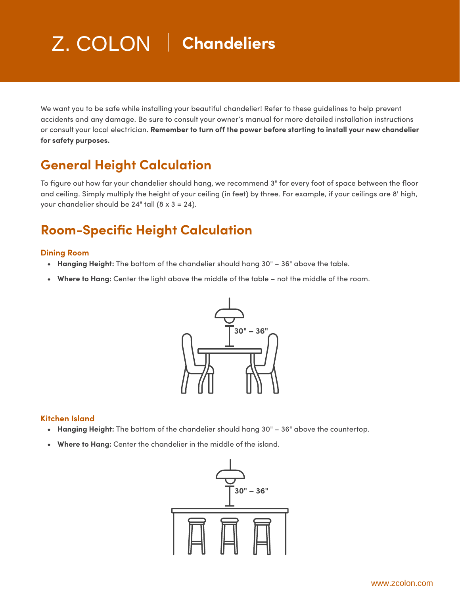# Z. COLON **Chandeliers** Z. COLON

We want you to be safe while installing your beautiful chandelier! Refer to these guidelines to help prevent accidents and any damage. Be sure to consult your owner's manual for more detailed installation instructions or consult your local electrician. **Remember to turn off the power before starting to install your new chandelier for safety purposes.**

## **General Height Calculation**

To figure out how far your chandelier should hang, we recommend 3" for every foot of space between the floor and ceiling. Simply multiply the height of your ceiling (in feet) by three. For example, if your ceilings are 8' high, your chandelier should be  $24"$  tall (8 x 3 = 24).

## **Room-Specific Height Calculation**

#### **Dining Room**

- **• Hanging Height:** The bottom of the chandelier should hang 30" 36" above the table.
- **• Where to Hang:** Center the light above the middle of the table not the middle of the room.



#### **Kitchen Island**

- **• Hanging Height:** The bottom of the chandelier should hang 30" 36" above the countertop.
- **• Where to Hang:** Center the chandelier in the middle of the island.